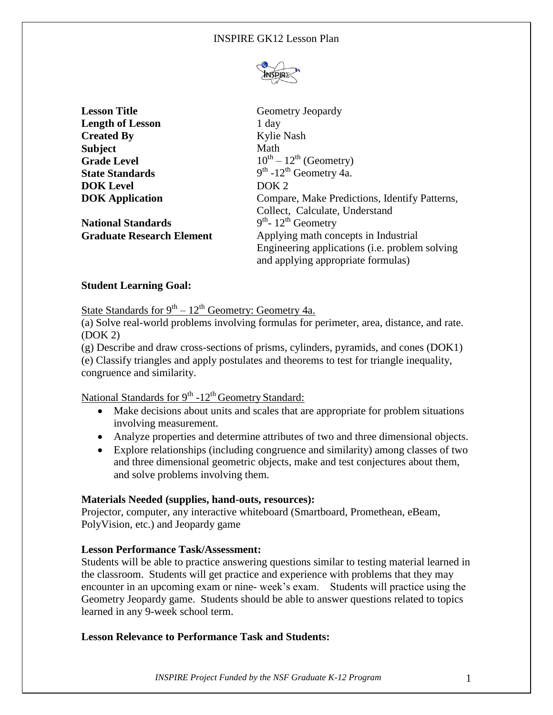

**Lesson Title** Geometry Jeopardy **Length of Lesson** 1 day **Created By** Kylie Nash **Subject** Math **Grade Level**  $10^{th} - 12^{th}$  (Geometry) **State Standards**  $th$  -12<sup>th</sup> Geometry 4a. **DOK Level** DOK 2 **DOK Application Compare, Make Predictions, Identify Patterns,** Collect, Calculate, Understand **National Standards** <sup>th</sup>- 12<sup>th</sup> Geometry **Graduate Research Element** Applying math concepts in Industrial Engineering applications (i.e. problem solving and applying appropriate formulas)

# **Student Learning Goal:**

State Standards for 9<sup>th</sup> – 12<sup>th</sup> Geometry: Geometry 4a.

(a) Solve real-world problems involving formulas for perimeter, area, distance, and rate. (DOK 2)

(g) Describe and draw cross-sections of prisms, cylinders, pyramids, and cones (DOK1) (e) Classify triangles and apply postulates and theorems to test for triangle inequality, congruence and similarity.

# National Standards for 9<sup>th</sup> -12<sup>th</sup> Geometry Standard:

- Make decisions about units and scales that are appropriate for problem situations involving measurement.
- Analyze properties and determine attributes of two and three dimensional objects.
- Explore relationships (including congruence and similarity) among classes of two and three dimensional geometric objects, make and test conjectures about them, and solve problems involving them.

### **Materials Needed (supplies, hand-outs, resources):**

Projector, computer, any interactive whiteboard (Smartboard, Promethean, eBeam, PolyVision, etc.) and Jeopardy game

### **Lesson Performance Task/Assessment:**

Students will be able to practice answering questions similar to testing material learned in the classroom. Students will get practice and experience with problems that they may encounter in an upcoming exam or nine- week's exam. Students will practice using the Geometry Jeopardy game. Students should be able to answer questions related to topics learned in any 9-week school term.

### **Lesson Relevance to Performance Task and Students:**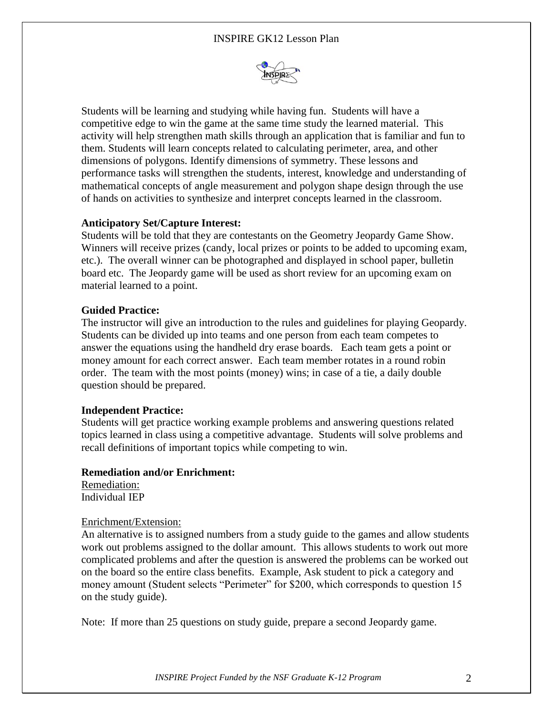

Students will be learning and studying while having fun. Students will have a competitive edge to win the game at the same time study the learned material. This activity will help strengthen math skills through an application that is familiar and fun to them. Students will learn concepts related to calculating perimeter, area, and other dimensions of polygons. Identify dimensions of symmetry. These lessons and performance tasks will strengthen the students, interest, knowledge and understanding of mathematical concepts of angle measurement and polygon shape design through the use of hands on activities to synthesize and interpret concepts learned in the classroom.

#### **Anticipatory Set/Capture Interest:**

Students will be told that they are contestants on the Geometry Jeopardy Game Show. Winners will receive prizes (candy, local prizes or points to be added to upcoming exam, etc.). The overall winner can be photographed and displayed in school paper, bulletin board etc. The Jeopardy game will be used as short review for an upcoming exam on material learned to a point.

#### **Guided Practice:**

The instructor will give an introduction to the rules and guidelines for playing Geopardy. Students can be divided up into teams and one person from each team competes to answer the equations using the handheld dry erase boards. Each team gets a point or money amount for each correct answer. Each team member rotates in a round robin order. The team with the most points (money) wins; in case of a tie, a daily double question should be prepared.

#### **Independent Practice:**

Students will get practice working example problems and answering questions related topics learned in class using a competitive advantage. Students will solve problems and recall definitions of important topics while competing to win.

#### **Remediation and/or Enrichment:**

Remediation: Individual IEP

#### Enrichment/Extension:

An alternative is to assigned numbers from a study guide to the games and allow students work out problems assigned to the dollar amount. This allows students to work out more complicated problems and after the question is answered the problems can be worked out on the board so the entire class benefits. Example, Ask student to pick a category and money amount (Student selects "Perimeter" for \$200, which corresponds to question 15 on the study guide).

Note: If more than 25 questions on study guide, prepare a second Jeopardy game.